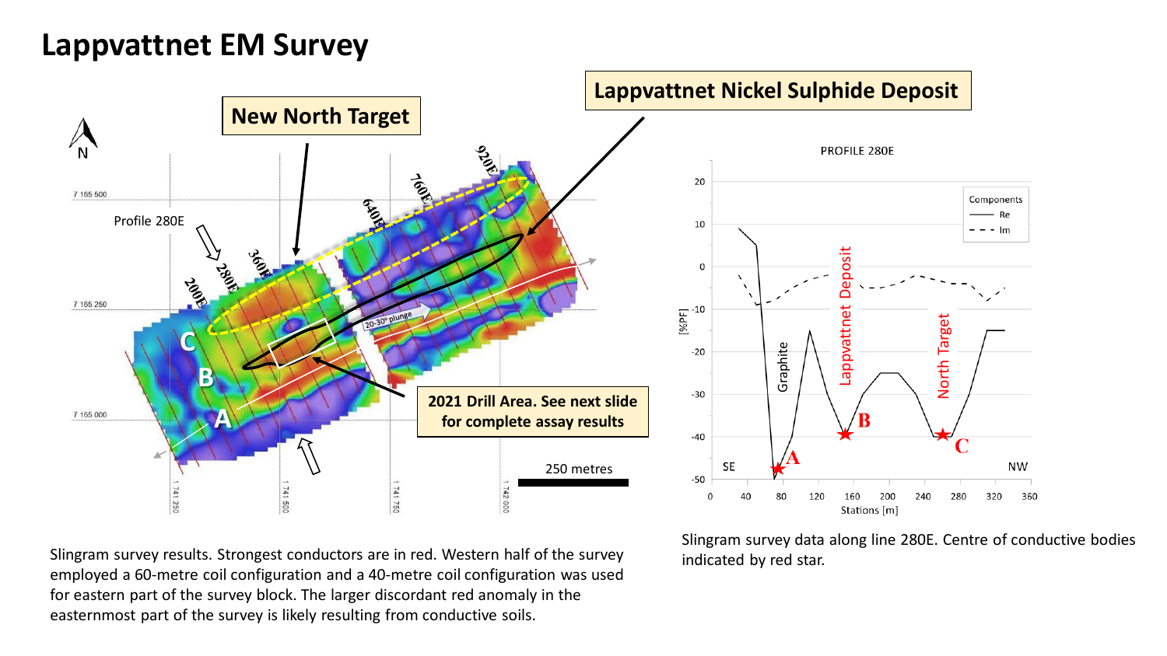## **Lappvattnet EM Survey**



Slingram survey results. Strongest conductors are in red. Western half of the survey employed a 60-metre coil configuration and a 40-metre coil configuration was used for eastern part of the survey block. The larger discordant red anomaly in the easternmost part of the survey is likely resulting from conductive soils.

Slingram survey data along line 280E. Centre of conductive bodies indicated by red star.